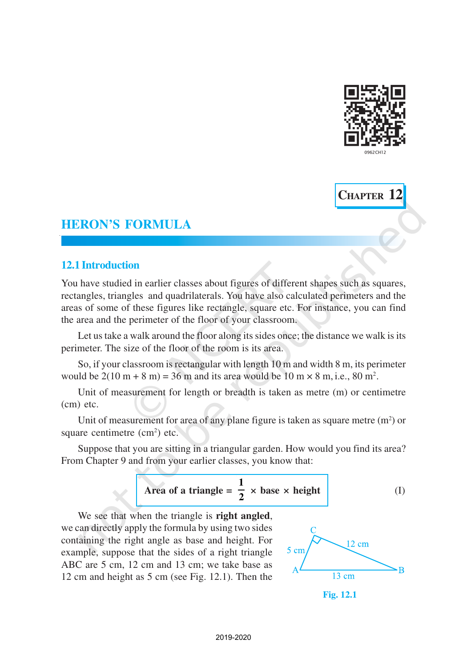



# **12.1 Introduction**

You have studied in earlier classes about figures of different shapes such as squares, rectangles, triangles and quadrilaterals. You have also calculated perimeters and the areas of some of these figures like rectangle, square etc. For instance, you can find the area and the perimeter of the floor of your classroom.

Let us take a walk around the floor along its sides once; the distance we walk is its perimeter. The size of the floor of the room is its area.

So, if your classroom is rectangular with length 10 m and width 8 m, its perimeter would be  $2(10 \text{ m} + 8 \text{ m}) = 36 \text{ m}$  and its area would be  $10 \text{ m} \times 8 \text{ m}$ , i.e.,  $80 \text{ m}^2$ .

Unit of measurement for length or breadth is taken as metre (m) or centimetre (cm) etc.

Unit of measurement for area of any plane figure is taken as square metre  $(m<sup>2</sup>)$  or square centimetre  $(cm<sup>2</sup>)$  etc.

Suppose that you are sitting in a triangular garden. How would you find its area? From Chapter 9 and from your earlier classes, you know that:

Area of a triangle = 
$$
\frac{1}{2}
$$
 × base × height (I)

We see that when the triangle is **right angled**, we can directly apply the formula by using two sides containing the right angle as base and height. For example, suppose that the sides of a right triangle ABC are 5 cm, 12 cm and 13 cm; we take base as 12 cm and height as 5 cm (see Fig. 12.1). Then the



**Fig. 12.1**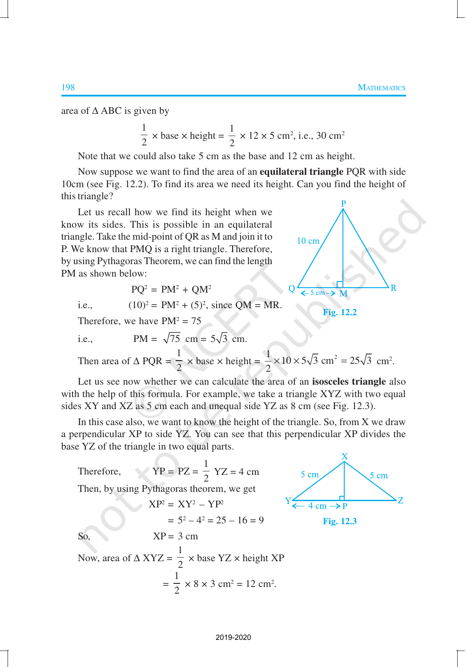area of  $\triangle$  ABC is given by

$$
\frac{1}{2} \times \text{base} \times \text{height} = \frac{1}{2} \times 12 \times 5 \text{ cm}^2, \text{ i.e., } 30 \text{ cm}^2
$$

Note that we could also take 5 cm as the base and 12 cm as height.

Now suppose we want to find the area of an **equilateral triangle** PQR with side 10cm (see Fig. 12.2). To find its area we need its height. Can you find the height of this triangle?

Let us recall how we find its height when we know its sides. This is possible in an equilateral triangle. Take the mid-point of QR as M and join it to P. We know that PMQ is a right triangle. Therefore, by using Pythagoras Theorem, we can find the length PM as shown below:

$$
PQ^2 = PM^2 + QM^2
$$

i.e., 
$$
(10)^2 = PM^2 + (5)^2
$$
, since QM = MR.

Therefore, we have  $PM^2 = 75$ 

i.e., 
$$
PM = \sqrt{75} \text{ cm} = 5\sqrt{3} \text{ cm}.
$$

Then area of 
$$
\triangle
$$
 PQR =  $\frac{1}{2}$  × base × height =  $\frac{1}{2}$  × 10 × 5 $\sqrt{3}$  cm<sup>2</sup> = 25 $\sqrt{3}$  cm<sup>2</sup>.

Let us see now whether we can calculate the area of an **isosceles triangle** also with the help of this formula. For example, we take a triangle XYZ with two equal sides XY and XZ as 5 cm each and unequal side YZ as 8 cm (see Fig. 12.3).

In this case also, we want to know the height of the triangle. So, from X we draw a perpendicular XP to side YZ. You can see that this perpendicular XP divides the base YZ of the triangle in two equal parts.

Therefore,  
\n
$$
YP = PZ = \frac{1}{2} YZ = 4 \text{ cm}
$$
  
\nThen, by using Pythagoras theorem, we get  
\n
$$
XP^2 = XY^2 - YP^2
$$
\n
$$
= 5^2 - 4^2 = 25 - 16 = 9
$$
\nSo,  
\n
$$
XP = 3 \text{ cm}
$$
\nNow, area of  $\triangle XYZ = \frac{1}{2} \times \text{base } YZ \times \text{height } XP$   
\n
$$
= \frac{1}{2} \times 8 \times 3 \text{ cm}^2 = 12 \text{ cm}^2.
$$



**Fig. 12.2**

 $10 \text{ cm}$ 

 $5 cm -$ → M

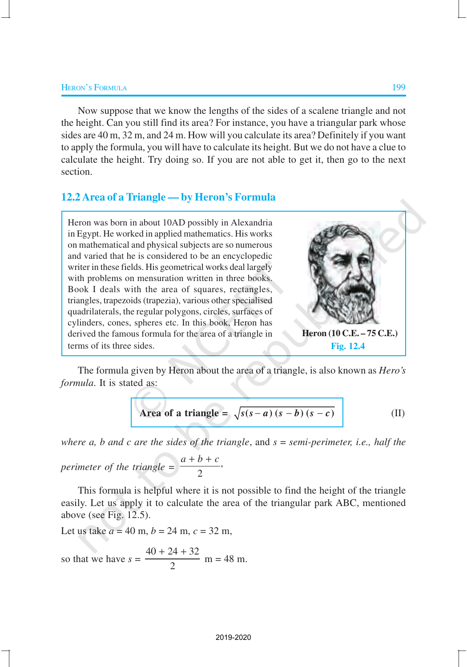Now suppose that we know the lengths of the sides of a scalene triangle and not the height. Can you still find its area? For instance, you have a triangular park whose sides are 40 m, 32 m, and 24 m. How will you calculate its area? Definitely if you want to apply the formula, you will have to calculate its height. But we do not have a clue to calculate the height. Try doing so. If you are not able to get it, then go to the next section.

### **12.2Area of a Triangle — by Heron's Formula**

Heron was born in about 10AD possibly in Alexandria in Egypt. He worked in applied mathematics. His works on mathematical and physical subjects are so numerous and varied that he is considered to be an encyclopedic writer in these fields. His geometrical works deal largely with problems on mensuration written in three books. Book I deals with the area of squares, rectangles, triangles, trapezoids (trapezia), various other specialised quadrilaterals, the regular polygons, circles, surfaces of cylinders, cones, spheres etc. In this book, Heron has derived the famous formula for the area of a triangle in terms of its three sides.



The formula given by Heron about the area of a triangle, is also known as *Hero's formula*. It is stated as:

Area of a triangle = 
$$
\sqrt{s(s-a)(s-b)(s-c)}
$$
 (II)

*where a, b and c are the sides of the triangle*, and *s* = *semi-perimeter, i.e., half the*

*perimeter of the triangle* =  $\frac{2}{2}$  $\frac{a+b+c}{b}$ 

This formula is helpful where it is not possible to find the height of the triangle easily. Let us apply it to calculate the area of the triangular park ABC, mentioned above (see Fig. 12.5).

Let us take  $a = 40$  m,  $b = 24$  m,  $c = 32$  m,

so that we have 
$$
s = \frac{40 + 24 + 32}{2}
$$
 m = 48 m.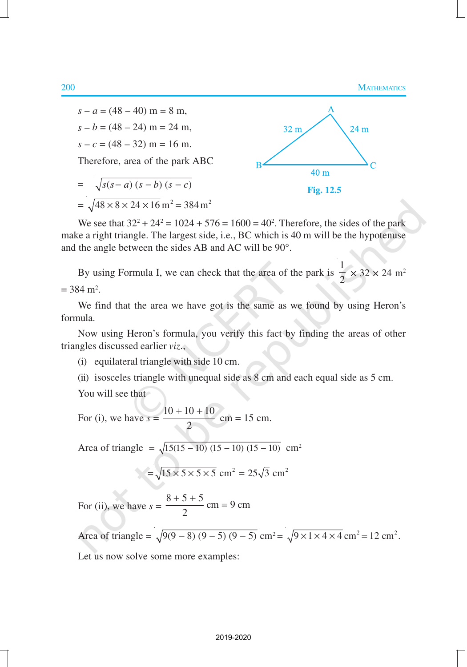#### 200 MATHEMATICS



We see that  $32^2 + 24^2 = 1024 + 576 = 1600 = 40^2$ . Therefore, the sides of the park make a right triangle. The largest side, i.e., BC which is 40 m will be the hypotenuse and the angle between the sides AB and AC will be 90°.

By using Formula I, we can check that the area of the park is 1  $\frac{1}{2} \times 32 \times 24$  m<sup>2</sup>  $= 384 \text{ m}^2$ .

We find that the area we have got is the same as we found by using Heron's formula.

Now using Heron's formula, you verify this fact by finding the areas of other triangles discussed earlier *viz*.,

- (i) equilateral triangle with side 10 cm.
- (ii) isosceles triangle with unequal side as 8 cm and each equal side as 5 cm.

You will see that

For (i), we have  $s = \frac{10 + 10 + 10}{s}$ 2  $+10+$  $cm = 15$  cm.

Area of triangle =  $\sqrt{15(15 - 10)(15 - 10)(15 - 10)}$  cm<sup>2</sup>

$$
=\sqrt{15\times 5\times 5\times 5}
$$
 cm<sup>2</sup> = 25 $\sqrt{3}$  cm<sup>2</sup>

For (ii), we have  $s = \frac{8+5+5}{2}$  cm = 9 cm 2  $+ 5 + 5$  cm =

Area of triangle =  $\sqrt{9(9-8)(9-5)(9-5)}$  cm<sup>2</sup> =  $\sqrt{9 \times 1 \times 4 \times 4}$  cm<sup>2</sup> = 12 cm<sup>2</sup>.

Let us now solve some more examples: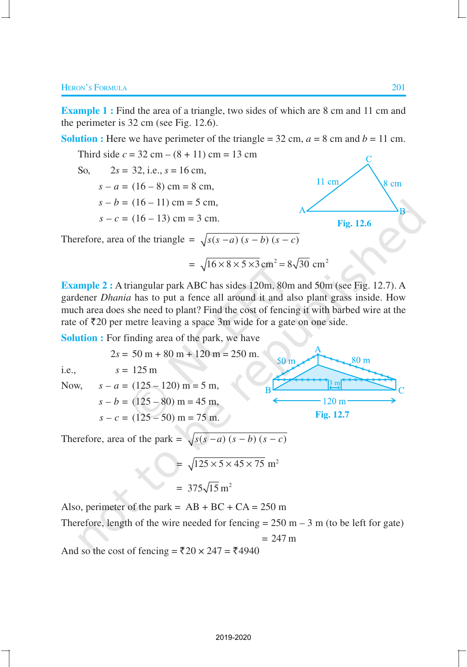**Example 1 :** Find the area of a triangle, two sides of which are 8 cm and 11 cm and the perimeter is 32 cm (see Fig. 12.6).

**Solution :** Here we have perimeter of the triangle =  $32 \text{ cm}$ ,  $a = 8 \text{ cm}$  and  $b = 11 \text{ cm}$ .

Third side 
$$
c = 32 \text{ cm} - (8 + 11) \text{ cm} = 13 \text{ cm}
$$
  
\nSo,  $2s = 32$ , i.e.,  $s = 16 \text{ cm}$ ,  
\n $s - a = (16 - 8) \text{ cm} = 8 \text{ cm}$ ,  
\n $s - b = (16 - 11) \text{ cm} = 5 \text{ cm}$ ,  
\n $s - c = (16 - 13) \text{ cm} = 3 \text{ cm}$ .  
\nTherefore, area of the triangle =  $\sqrt{s(s - a)(s - b)(s - c)}$ 

$$
= \sqrt{16 \times 8 \times 5 \times 3} \text{ cm}^2 = 8\sqrt{30} \text{ cm}^2
$$

50 m

 $\overline{R}$ 

**Fig. 12.7**

 $\cdot$ 120 m·

 $3 \text{ m}$ 

 $80<sub>m</sub>$ 

**Example 2 :** A triangular park ABC has sides 120m, 80m and 50m (see Fig. 12.7). A gardener *Dhania* has to put a fence all around it and also plant grass inside. How much area does she need to plant? Find the cost of fencing it with barbed wire at the rate of  $\bar{\tau}$ 20 per metre leaving a space 3m wide for a gate on one side.

**Solution :** For finding area of the park, we have

 $2s = 50 m + 80 m + 120 m = 250 m$ . i.e.,  $s = 125 \text{ m}$ Now,  $s - a = (125 - 120)$  m = 5 m,  $s - b = (125 - 80)$  m = 45 m,  $s - c = (125 - 50)$  m = 75 m.

Therefore, area of the park = 
$$
\sqrt{s(s-a)(s-b)(s-c)}
$$

$$
= \sqrt{125 \times 5 \times 45 \times 75} \text{ m}^2
$$

$$
= 375\sqrt{15} \text{ m}^2
$$

Also, perimeter of the park =  $AB + BC + CA = 250$  m

Therefore, length of the wire needed for fencing  $= 250$  m  $- 3$  m (to be left for gate)

$$
= 247 \text{ m}
$$

And so the cost of fencing =  $\overline{20} \times 247 = 24940$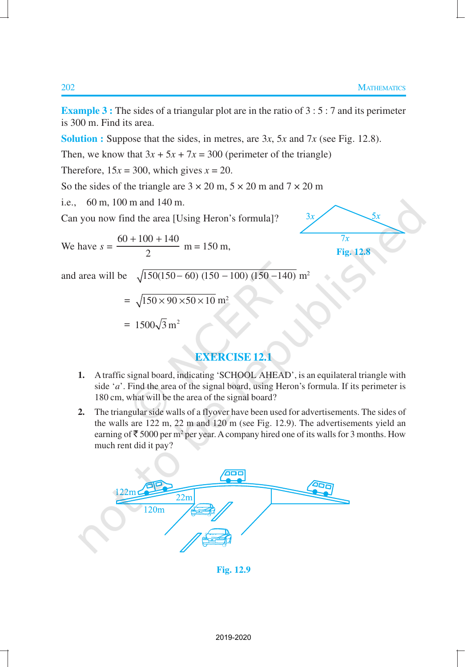$5x$ 

**Example 3 :** The sides of a triangular plot are in the ratio of 3 : 5 : 7 and its perimeter is 300 m. Find its area.

**Solution :** Suppose that the sides, in metres, are 3*x*, 5*x* and 7*x* (see Fig. 12.8).

Then, we know that  $3x + 5x + 7x = 300$  (perimeter of the triangle)

Therefore,  $15x = 300$ , which gives  $x = 20$ .

So the sides of the triangle are  $3 \times 20$  m,  $5 \times 20$  m and  $7 \times 20$  m

i.e., 60 m, 100 m and 140 m.

Can you now find the area [Using Heron's formula]?

We have 
$$
s = \frac{60 + 100 + 140}{2}
$$
 m = 150 m,  
\nand area will be  $\sqrt{150(150 - 60) (150 - 100) (150 - 140)}$  m<sup>2</sup>  
\n $= \sqrt{150 \times 90 \times 50 \times 10}$  m<sup>2</sup>  
\n $= 1500\sqrt{3}$  m<sup>2</sup>

## **EXERCISE 12.1**

- **1.** A traffic signal board, indicating 'SCHOOL AHEAD', is an equilateral triangle with side '*a*'. Find the area of the signal board, using Heron's formula. If its perimeter is 180 cm, what will be the area of the signal board?
- **2.** The triangular side walls of a flyover have been used for advertisements. The sides of the walls are 122 m, 22 m and 120 m (see Fig. 12.9). The advertisements yield an earning of  $\bar{\mathcal{F}}$  5000 per m<sup>2</sup> per year. A company hired one of its walls for 3 months. How much rent did it pay?



**Fig. 12.9**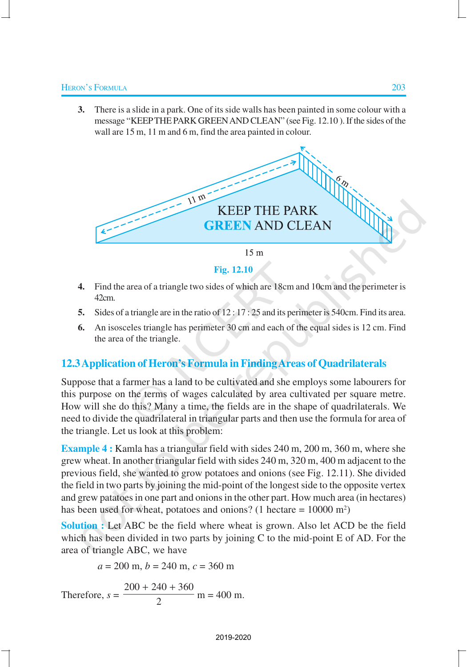**3.** There is a slide in a park. One of its side walls has been painted in some colour with a message "KEEPTHE PARK GREEN AND CLEAN" (see Fig. 12.10 ). If the sides of the wall are 15 m, 11 m and 6 m, find the area painted in colour.



**Fig. 12.10**

- **4.** Find the area of a triangle two sides of which are 18cm and 10cm and the perimeter is 42cm.
- **5.** Sides of a triangle are in the ratio of 12 : 17 : 25 and its perimeter is 540cm. Find its area.
- **6.** An isosceles triangle has perimeter 30 cm and each of the equal sides is 12 cm. Find the area of the triangle.

### **12.3Application of Heron's Formula in Finding Areas of Quadrilaterals**

Suppose that a farmer has a land to be cultivated and she employs some labourers for this purpose on the terms of wages calculated by area cultivated per square metre. How will she do this? Many a time, the fields are in the shape of quadrilaterals. We need to divide the quadrilateral in triangular parts and then use the formula for area of the triangle. Let us look at this problem:

**Example 4 :** Kamla has a triangular field with sides 240 m, 200 m, 360 m, where she grew wheat. In another triangular field with sides 240 m, 320 m, 400 m adjacent to the previous field, she wanted to grow potatoes and onions (see Fig. 12.11). She divided the field in two parts by joining the mid-point of the longest side to the opposite vertex and grew patatoes in one part and onions in the other part. How much area (in hectares) has been used for wheat, potatoes and onions? (1 hectare  $= 10000$  m<sup>2</sup>)

**Solution :** Let ABC be the field where wheat is grown. Also let ACD be the field which has been divided in two parts by joining C to the mid-point E of AD. For the area of triangle ABC, we have

$$
a = 200
$$
 m,  $b = 240$  m,  $c = 360$  m

Therefore, 
$$
s = \frac{200 + 240 + 360}{2}
$$
 m = 400 m.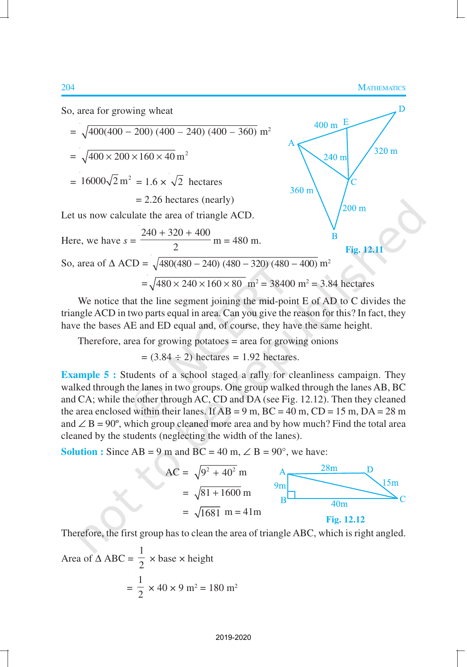

We notice that the line segment joining the mid-point E of AD to C divides the triangle ACD in two parts equal in area. Can you give the reason for this? In fact, they have the bases AE and ED equal and, of course, they have the same height.

Therefore, area for growing potatoes = area for growing onions

 $= (3.84 \div 2)$  hectares  $= 1.92$  hectares.

**Example 5 :** Students of a school staged a rally for cleanliness campaign. They walked through the lanes in two groups. One group walked through the lanes AB, BC and CA; while the other through AC, CD and DA (see Fig. 12.12). Then they cleaned the area enclosed within their lanes. If  $AB = 9$  m,  $BC = 40$  m,  $CD = 15$  m,  $DA = 28$  m and  $\angle$  B = 90°, which group cleaned more area and by how much? Find the total area cleaned by the students (neglecting the width of the lanes).

**Solution :** Since  $AB = 9$  m and  $BC = 40$  m,  $\angle$  B = 90°, we have:



Therefore, the first group has to clean the area of triangle ABC, which is right angled.

Area of 
$$
\triangle ABC = \frac{1}{2} \times \text{base} \times \text{height}
$$
  
=  $\frac{1}{2} \times 40 \times 9 \text{ m}^2 = 180 \text{ m}^2$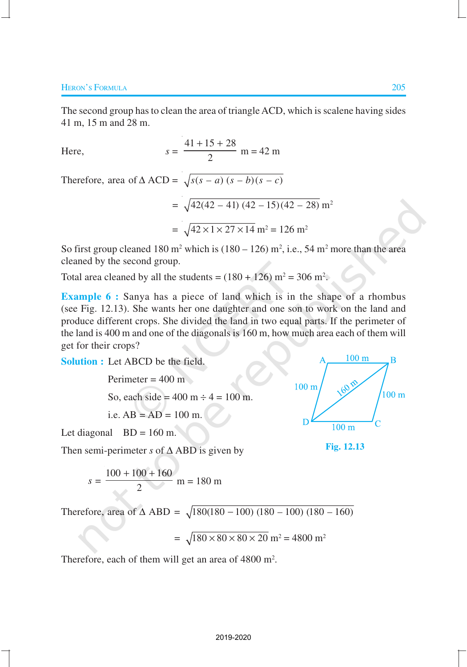The second group has to clean the area of triangle ACD, which is scalene having sides 41 m, 15 m and 28 m.

Here, 
$$
s = \frac{41 + 15 + 28}{2}
$$
 m = 42 m

Therefore, area of  $\triangle ACD = \sqrt{s(s-a)(s-b)(s-c)}$ 

$$
= \sqrt{42(42 - 41)(42 - 15)(42 - 28)} m^{2}
$$

$$
= \sqrt{42 \times 1 \times 27 \times 14} m^{2} = 126 m^{2}
$$

So first group cleaned 180 m<sup>2</sup> which is  $(180 - 126)$  m<sup>2</sup>, i.e., 54 m<sup>2</sup> more than the area cleaned by the second group.

Total area cleaned by all the students =  $(180 + 126)$  m<sup>2</sup> = 306 m<sup>2</sup>.

**Example 6 :** Sanya has a piece of land which is in the shape of a rhombus (see Fig. 12.13). She wants her one daughter and one son to work on the land and produce different crops. She divided the land in two equal parts. If the perimeter of the land is 400 m and one of the diagonals is 160 m, how much area each of them will get for their crops?

**Solution :** Let ABCD be the field.

Perimeter = 400 m So, each side = 400 m ÷ 4 = 100 m. i.e. AB = AD = 100 m.

Let diagonal  $BD = 160$  m.

Then semi-perimeter *s* of ∆ ABD is given by

$$
s = \frac{100 + 100 + 160}{2}
$$
 m = 180 m

Therefore, area of  $\triangle$  ABD =  $\sqrt{180(180 - 100) (180 - 100) (180 - 160)}$ 

$$
= \sqrt{180 \times 80 \times 80 \times 20} \text{ m}^2 = 4800 \text{ m}^2
$$

Therefore, each of them will get an area of  $4800 \text{ m}^2$ .

$$
f_{\rm{max}}
$$

2019-2020



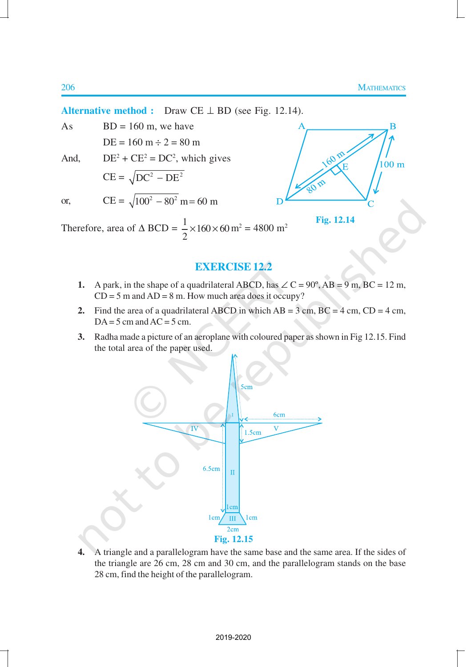B

 $100<sub>m</sub>$ 

**Fig. 12.14**

**Alternative method :** Draw CE ⊥ BD (see Fig. 12.14).

As  $BD = 160$  m, we have  $DE = 160 m \div 2 = 80 m$ 

And,

And, 
$$
DE^2 + CE^2 = DC^2
$$
, which gives  
\n
$$
CE = \sqrt{DC^2 - DE^2}
$$
\nor,  
\n
$$
CE = \sqrt{100^2 - 80^2}
$$
 m = 60 m

Therefore, area of  $\triangle BCD = \frac{1}{2} \times 160 \times 60$ 2  $\times 160 \times 60$  m<sup>2</sup> = 4800 m<sup>2</sup>

## **EXERCISE 12.2**

- **1.** A park, in the shape of a quadrilateral ABCD, has  $\angle C = 90^\circ$ , AB = 9 m, BC = 12 m,  $CD = 5$  m and  $AD = 8$  m. How much area does it occupy?
- **2.** Find the area of a quadrilateral ABCD in which  $AB = 3$  cm,  $BC = 4$  cm,  $CD = 4$  cm,  $DA = 5$  cm and  $AC = 5$  cm.
- **3.** Radha made a picture of an aeroplane with coloured paper as shown in Fig 12.15. Find the total area of the paper used.



**4.** A triangle and a parallelogram have the same base and the same area. If the sides of the triangle are 26 cm, 28 cm and 30 cm, and the parallelogram stands on the base 28 cm, find the height of the parallelogram.